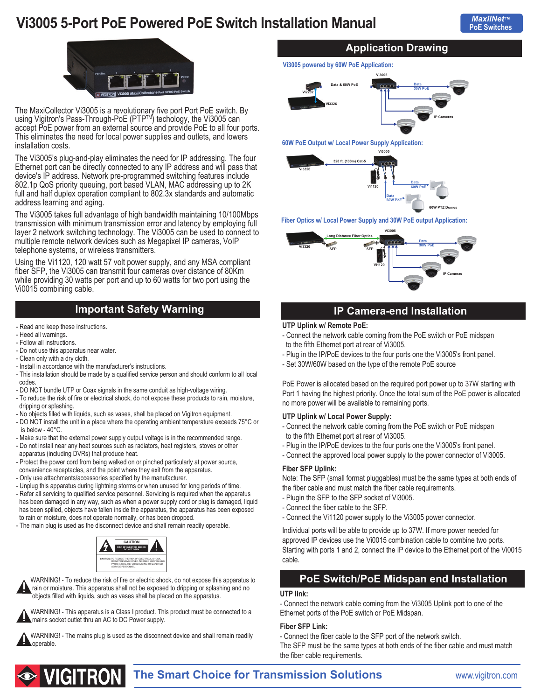# **Vi3005 5-Port PoE Powered PoE Switch Installation Manual**



The MaxiCollector Vi3005 is a revolutionary five port Port PoE switch. By using Vigitron's Pass-Through-PoE (PTP™) techology, the Vi3005 can accept PoE power from an external source and provide PoE to all four ports. This eliminates the need for local power supplies and outlets, and lowers installation costs.

The Vi3005's plug-and-play eliminates the need for IP addressing. The four Ethernet port can be directly connected to any IP address and will pass that device's IP address. Network pre-programmed switching features include 802.1p QoS priority queuing, port based VLAN, MAC addressing up to 2K full and half duplex operation compliant to 802.3x standards and automatic address learning and aging.

The Vi3005 takes full advantage of high bandwidth maintaining 10/100Mbps transmission with minimum transmission error and latency by employing full layer 2 network switching technology. The Vi3005 can be used to connect to multiple remote network devices such as Megapixel IP cameras, VoIP telephone systems, or wireless transmitters.

Using the Vi1120, 120 watt 57 volt power supply, and any MSA compliant fiber SFP, the Vi3005 can transmit four cameras over distance of 80Km while providing 30 watts per port and up to 60 watts for two port using the Vi0015 combining cable.

### **Important Safety Warning**

- Read and keep these instructions.
- Heed all warnings.
- Follow all instructions.
- Do not use this apparatus near water.
- Clean only with a dry cloth.
- Install in accordance with the manufacturer's instructions.
- This installation should be made by a qualified service person and should conform to all local codes.
- DO NOT bundle UTP or Coax signals in the same conduit as high-voltage wiring.
- To reduce the risk of fire or electrical shock, do not expose these products to rain, moisture, dripping or splashing.
- No objects filled with liquids, such as vases, shall be placed on Vigitron equipment.
- DO NOT install the unit in a place where the operating ambient temperature exceeds 75°C or is below - 40°C.
- Make sure that the external power supply output voltage is in the recommended range.
- Do not install near any heat sources such as radiators, heat registers, stoves or other
- apparatus (including DVRs) that produce heat. - Protect the power cord from being walked on or pinched particularly at power source,
- convenience receptacles, and the point where they exit from the apparatus.
- Only use attachments/accessories specified by the manufacturer.
- Unplug this apparatus during lightning storms or when unused for long periods of time.
- Refer all servicing to qualified service personnel. Servicing is required when the apparatus has been damaged in any way, such as when a power supply cord or plug is damaged, liquid has been spilled, objects have fallen inside the apparatus, the apparatus has been exposed to rain or moisture, does not operate normally, or has been dropped.
- The main plug is used as the disconnect device and shall remain readily operable.



 WARNING! - To reduce the risk of fire or electric shock, do not expose this apparatus to rain or moisture. This apparatus shall not be exposed to dripping or splashing and no objects filled with liquids, such as vases shall be placed on the apparatus.



WARNING! - The mains plug is used as the disconnect device and shall remain readily operable.

### **Application Drawing**

**Vi3005 powered by 60W PoE Application:**



**60W PoE Output w/ Local Power Supply Application:**



#### **Fiber Optics w/ Local Power Supply and 30W PoE output Application:**



### **IP Camera-end Installation**

#### **UTP Uplink w/ Remote PoE:**

- Connect the network cable coming from the PoE switch or PoE midspan to the fifth Ethernet port at rear of Vi3005.
- Plug in the IP/PoE devices to the four ports one the Vi3005's front panel.
- Set 30W/60W based on the type of the remote PoE source

PoE Power is allocated based on the required port power up to 37W starting with Port 1 having the highest priority. Once the total sum of the PoE power is allocated no more power will be available to remaining ports.

#### **UTP Uplink w/ Local Power Supply:**

- Connect the network cable coming from the PoE switch or PoE midspan to the fifth Ethernet port at rear of Vi3005.
- Plug in the IP/PoE devices to the four ports one the Vi3005's front panel.
- Connect the approved local power supply to the power connector of Vi3005.

#### **Fiber SFP Uplink:**

Note: The SFP (small format pluggables) must be the same types at both ends of the fiber cable and must match the fiber cable requirements.

- Plugin the SFP to the SFP socket of Vi3005.
- Connect the fiber cable to the SFP.
- Connect the Vi1120 power supply to the Vi3005 power connector.

Individual ports will be able to provide up to 37W. If more power needed for approved IP devices use the Vi0015 combination cable to combine two ports. Starting with ports 1 and 2, connect the IP device to the Ethernet port of the Vi0015 cable.

### **PoE Switch/PoE Midspan end Installation**

#### **UTP link:**

- Connect the network cable coming from the Vi3005 Uplink port to one of the Ethernet ports of the PoE switch or PoE Midspan.

#### **Fiber SFP Link:**

- Connect the fiber cable to the SFP port of the network switch.

The SFP must be the same types at both ends of the fiber cable and must match the fiber cable requirements.



**The Smart Choice for Transmission Solutions <b>WARE ASSEM** WWW.vigitron.com